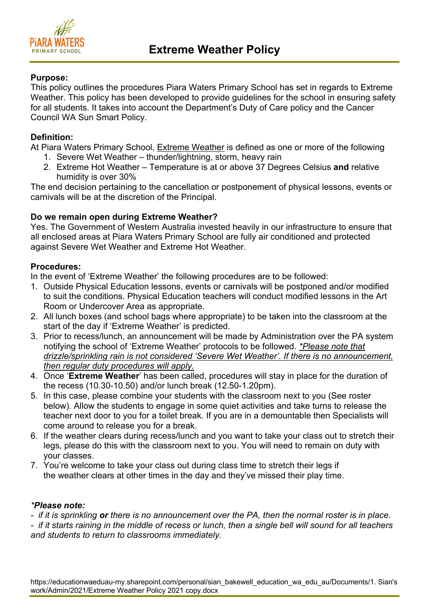

# **Purpose:**

This policy outlines the procedures Piara Waters Primary School has set in regards to Extreme Weather. This policy has been developed to provide guidelines for the school in ensuring safety for all students. It takes into account the Department's Duty of Care policy and the Cancer Council WA Sun Smart Policy.

# **Definition:**

At Piara Waters Primary School, Extreme Weather is defined as one or more of the following

- 1. Severe Wet Weather thunder/lightning, storm, heavy rain
- 2. Extreme Hot Weather Temperature is at or above 37 Degrees Celsius **and** relative humidity is over 30%

The end decision pertaining to the cancellation or postponement of physical lessons, events or carnivals will be at the discretion of the Principal.

# **Do we remain open during Extreme Weather?**

Yes. The Government of Western Australia invested heavily in our infrastructure to ensure that all enclosed areas at Piara Waters Primary School are fully air conditioned and protected against Severe Wet Weather and Extreme Hot Weather.

### **Procedures:**

In the event of 'Extreme Weather' the following procedures are to be followed:

- 1. Outside Physical Education lessons, events or carnivals will be postponed and/or modified to suit the conditions. Physical Education teachers will conduct modified lessons in the Art Room or Undercover Area as appropriate.
- 2. All lunch boxes (and school bags where appropriate) to be taken into the classroom at the start of the day if 'Extreme Weather' is predicted.
- 3. Prior to recess/lunch, an announcement will be made by Administration over the PA system notifying the school of 'Extreme Weather' protocols to be followed. *\*Please note that drizzle/sprinkling rain is not considered 'Severe Wet Weather'. If there is no announcement, then regular duty procedures will apply.*
- 4. Once '**Extreme Weather**' has been called, procedures will stay in place for the duration of the recess (10.30-10.50) and/or lunch break (12.50-1.20pm).
- 5. In this case, please combine your students with the classroom next to you (See roster below). Allow the students to engage in some quiet activities and take turns to release the teacher next door to you for a toilet break. If you are in a demountable then Specialists will come around to release you for a break.
- 6. If the weather clears during recess/lunch and you want to take your class out to stretch their legs, please do this with the classroom next to you. You will need to remain on duty with your classes.
- 7. You're welcome to take your class out during class time to stretch their legs if the weather clears at other times in the day and they've missed their play time.

### *\*Please note:*

*- if it is sprinkling or there is no announcement over the PA, then the normal roster is in place.*

*- if it starts raining in the middle of recess or lunch, then a single bell will sound for all teachers and students to return to classrooms immediately.*